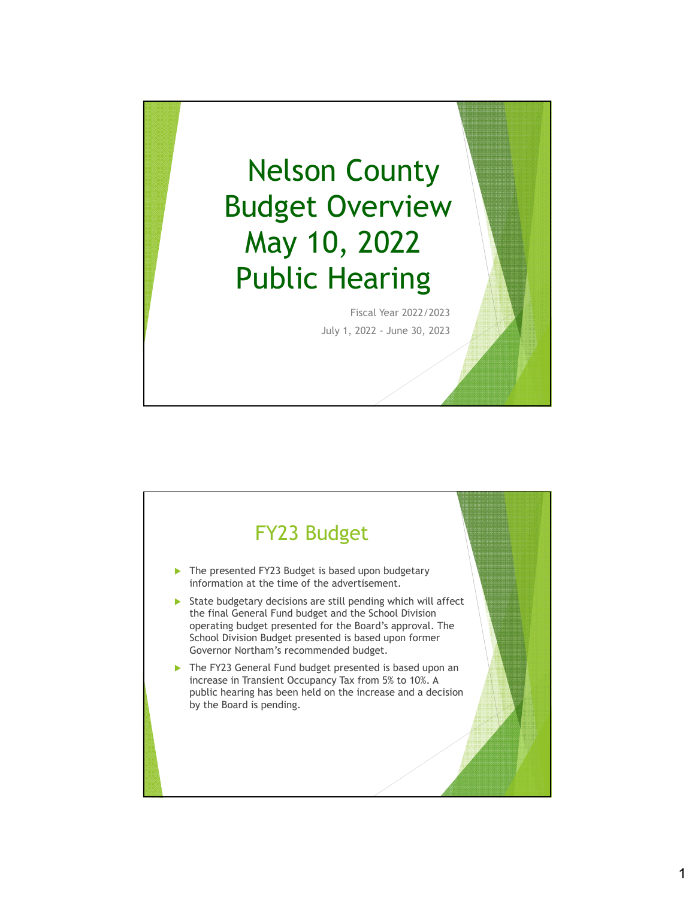

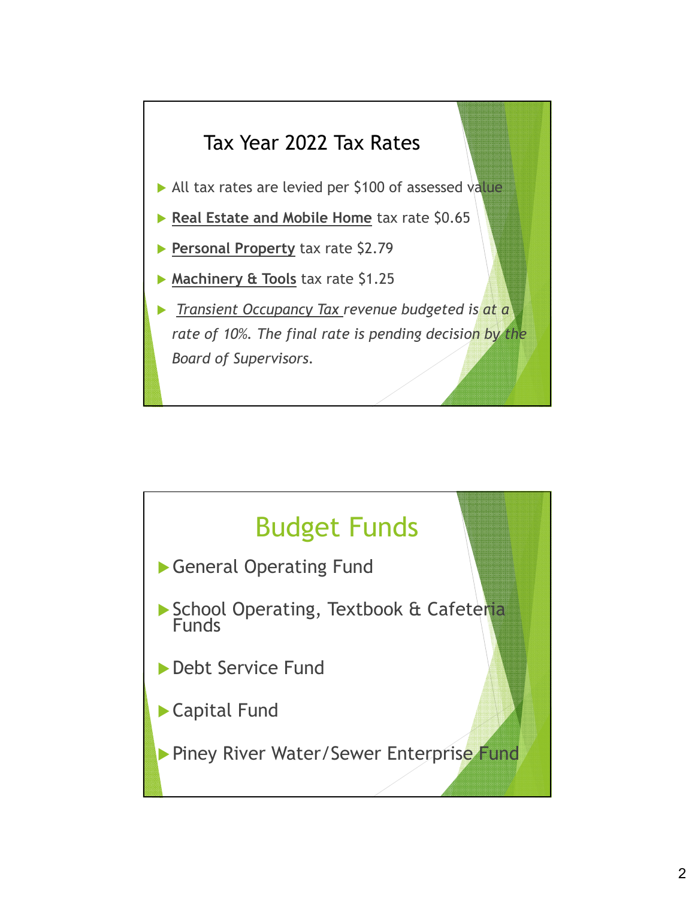

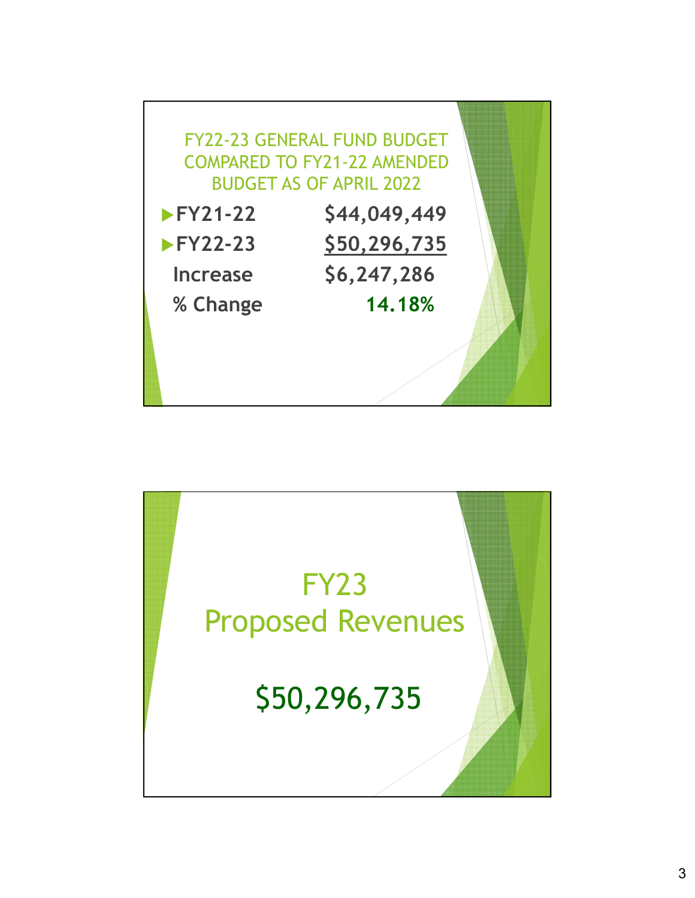

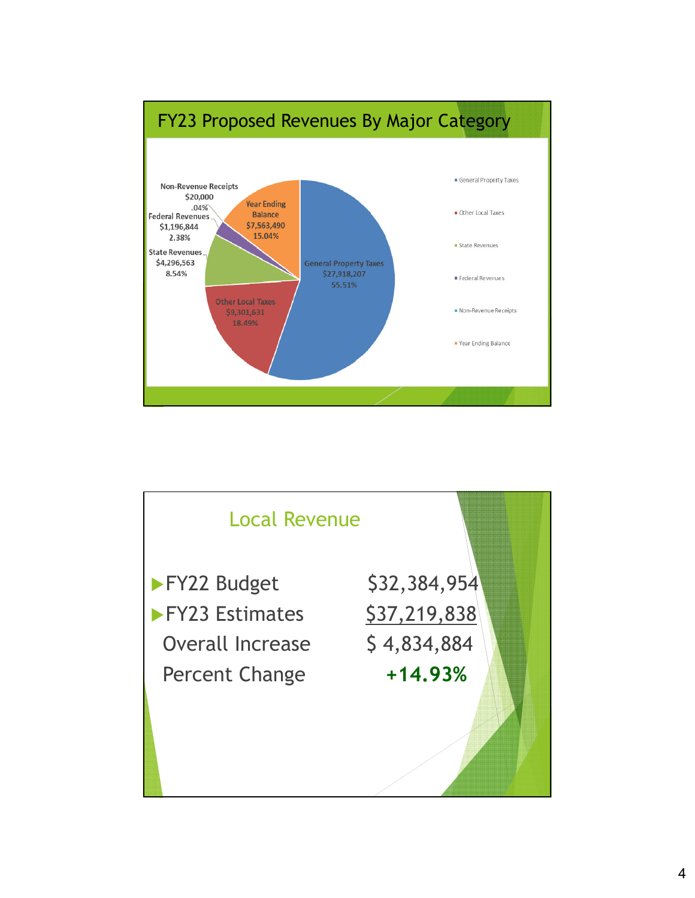

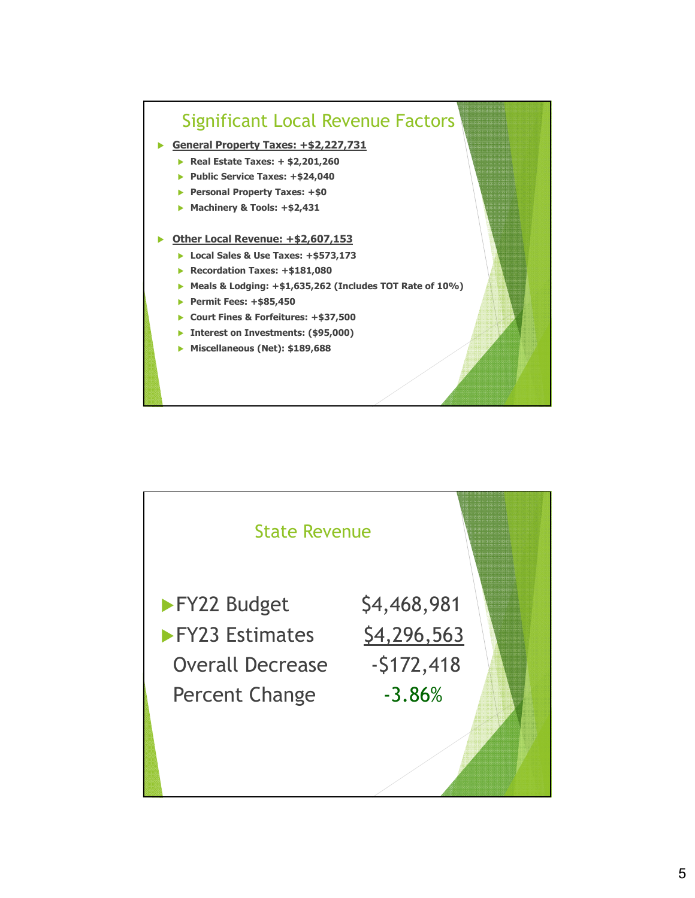

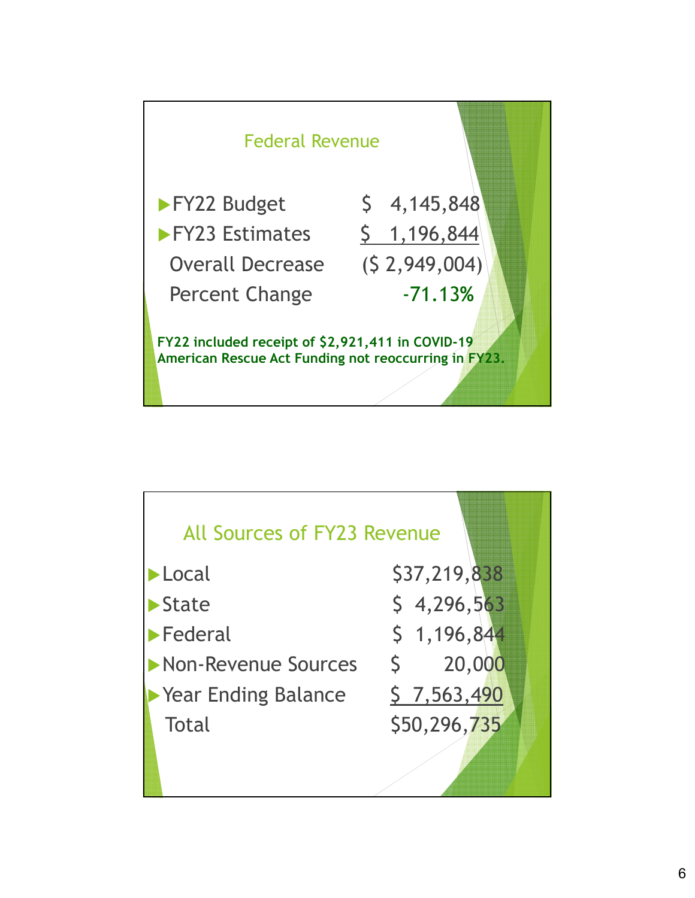

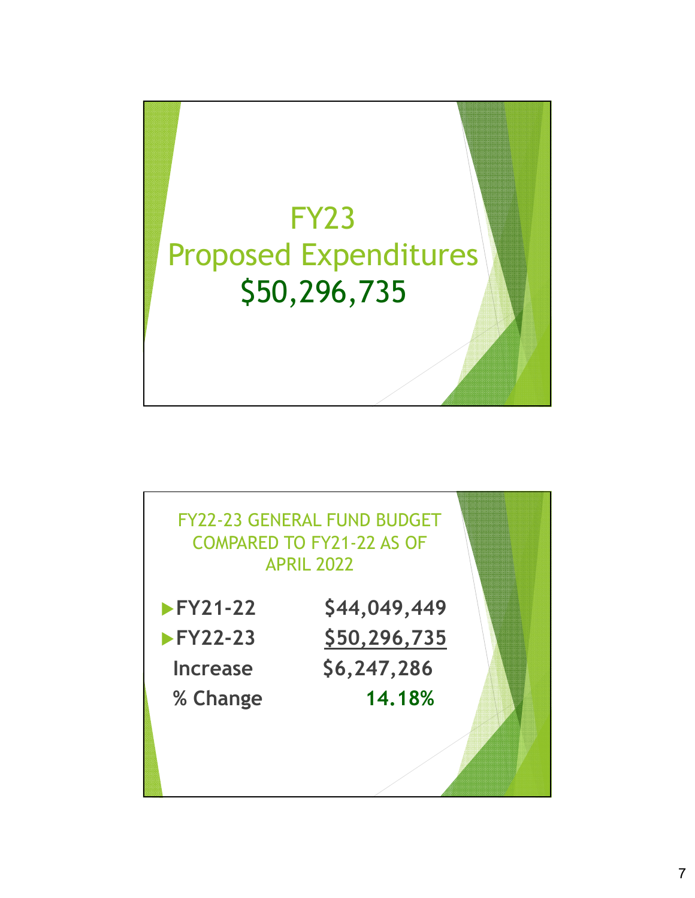

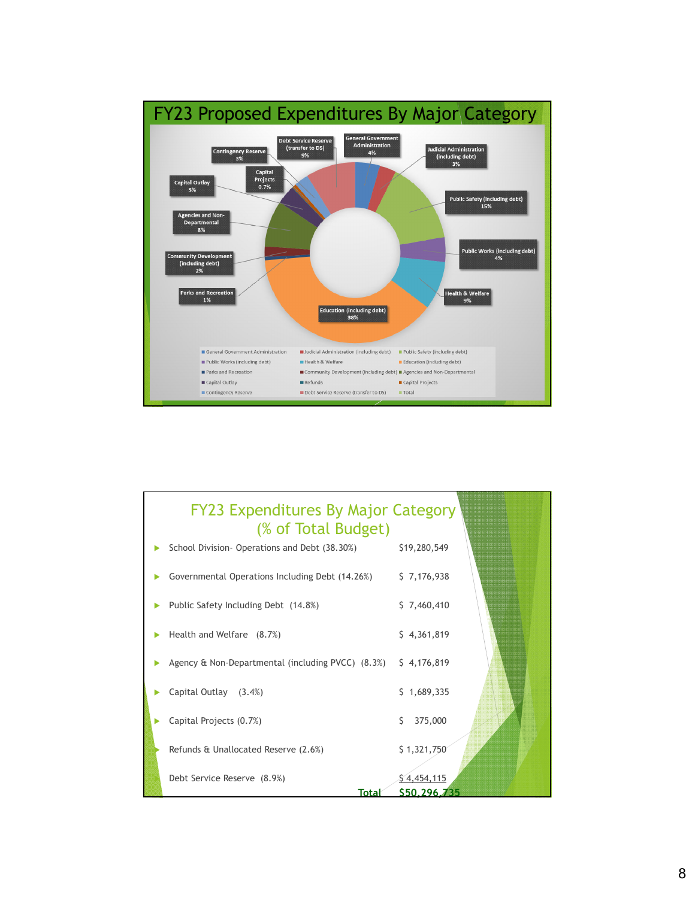

## FY23 Expenditures By Major Category (% of Total Budget) School Division- Operations and Debt (38.30%) \$19,280,549 Governmental Operations Including Debt (14.26%) \$ 7,176,938 ▶ Public Safety Including Debt (14.8%) \$ 7,460,410  $\blacktriangleright$  Health and Welfare  $(8.7\%)$  \$ 4,361,819 Agency & Non-Departmental (including PVCC) (8.3%) \$ 4,176,819 Capital Outlay (3.4%) \$ 1,689,335  $\triangleright$  Capital Projects (0.7%)  $\triangleright$  375,000 Refunds & Unallocated Reserve  $(2.6%)$  \$ 1,321,750 Debt Service Reserve  $(8.9%)$   $$4,454,115$ **Total \$50,296,735**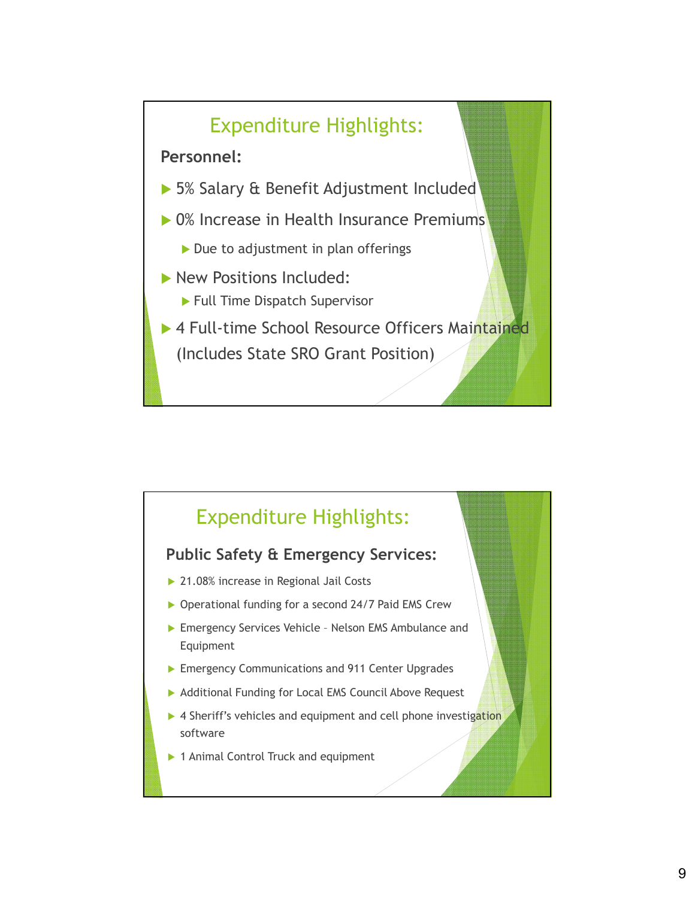

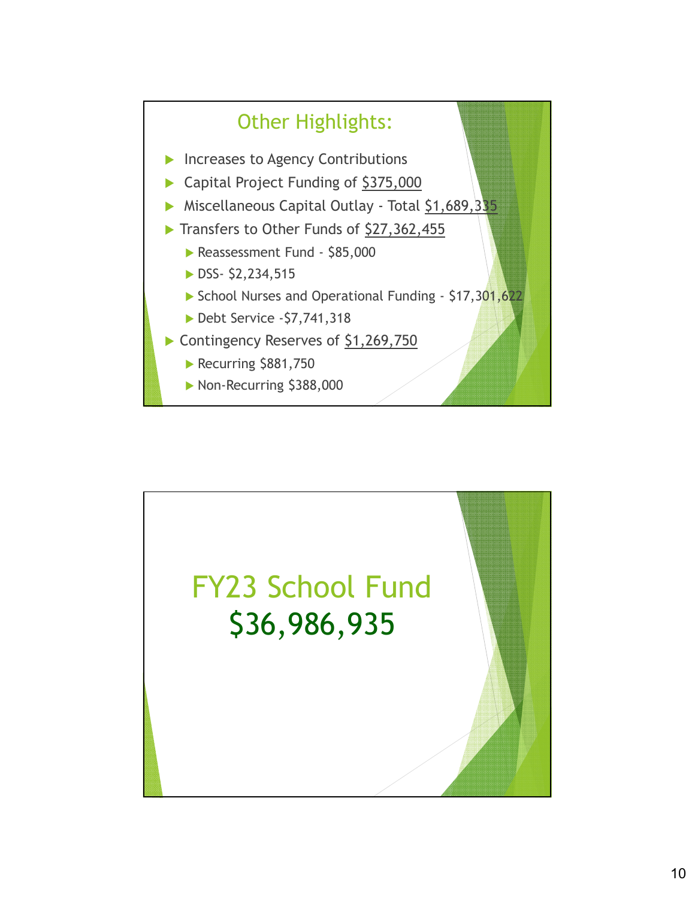

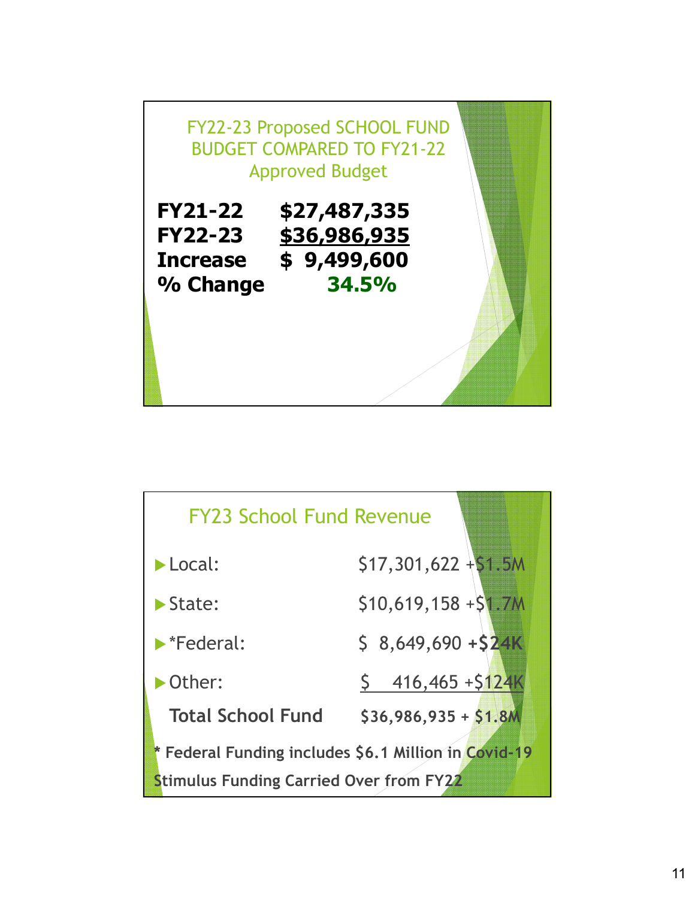

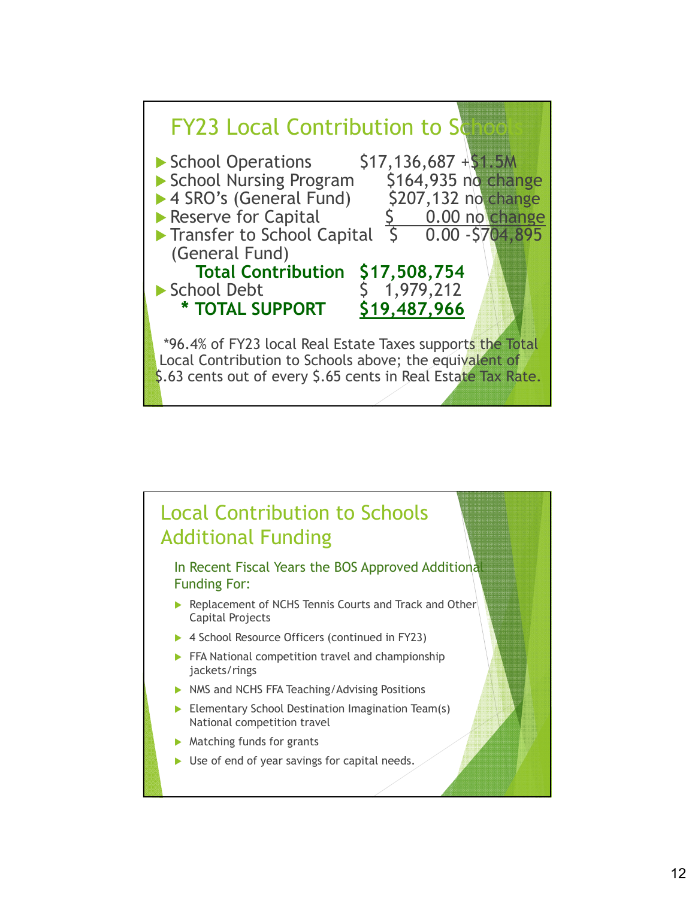

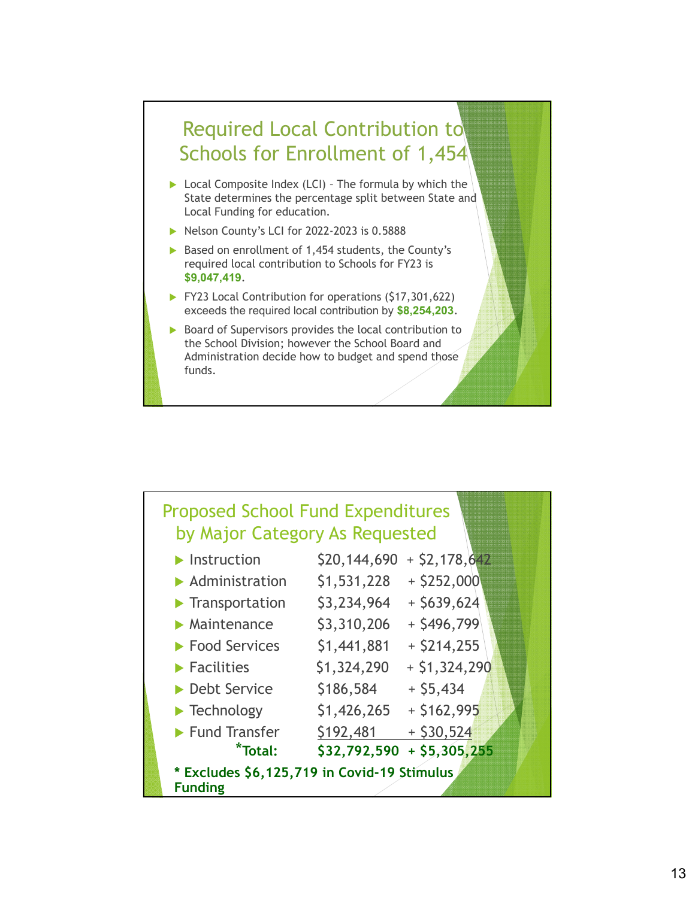

- ▶ Local Composite Index (LCI) The formula by which the State determines the percentage split between State and Local Funding for education.
- $\blacktriangleright$  Nelson County's LCI for 2022-2023 is 0.5888
- Based on enrollment of 1,454 students, the County's required local contribution to Schools for FY23 is **\$9,047,419**.
- **FY23 Local Contribution for operations (\$17,301,622)** exceeds the required local contribution by **\$8,254,203**.
- $\triangleright$  Board of Supervisors provides the local contribution to the School Division; however the School Board and Administration decide how to budget and spend those funds.

| <b>Proposed School Fund Expenditures</b><br>by Major Category As Requested |              |                 |
|----------------------------------------------------------------------------|--------------|-----------------|
| $\blacktriangleright$ Instruction                                          | \$20,144,690 | $+$ \$2,178,642 |
| $\blacktriangleright$ Administration                                       | \$1,531,228  | $+$ \$252,000   |
| $\blacktriangleright$ Transportation                                       | \$3,234,964  | $+$ \$639,624   |
| $\blacktriangleright$ Maintenance                                          | \$3,310,206  | $+$ \$496,799   |
| ▶ Food Services                                                            | \$1,441,881  | $+$ \$214,255   |
| $\blacktriangleright$ Facilities                                           | \$1,324,290  | $+ $1,324,290$  |
| ▶ Debt Service                                                             | \$186,584    | $+$ \$5,434     |
| $\blacktriangleright$ Technology                                           | \$1,426,265  | $+ $162,995$    |
| $\blacktriangleright$ Fund Transfer                                        | \$192,481    | $+$ \$30,524    |
| *Total:                                                                    | \$32,792,590 | $+$ \$5,305,255 |
| * Excludes \$6,125,719 in Covid-19 Stimulus<br><b>Funding</b>              |              |                 |